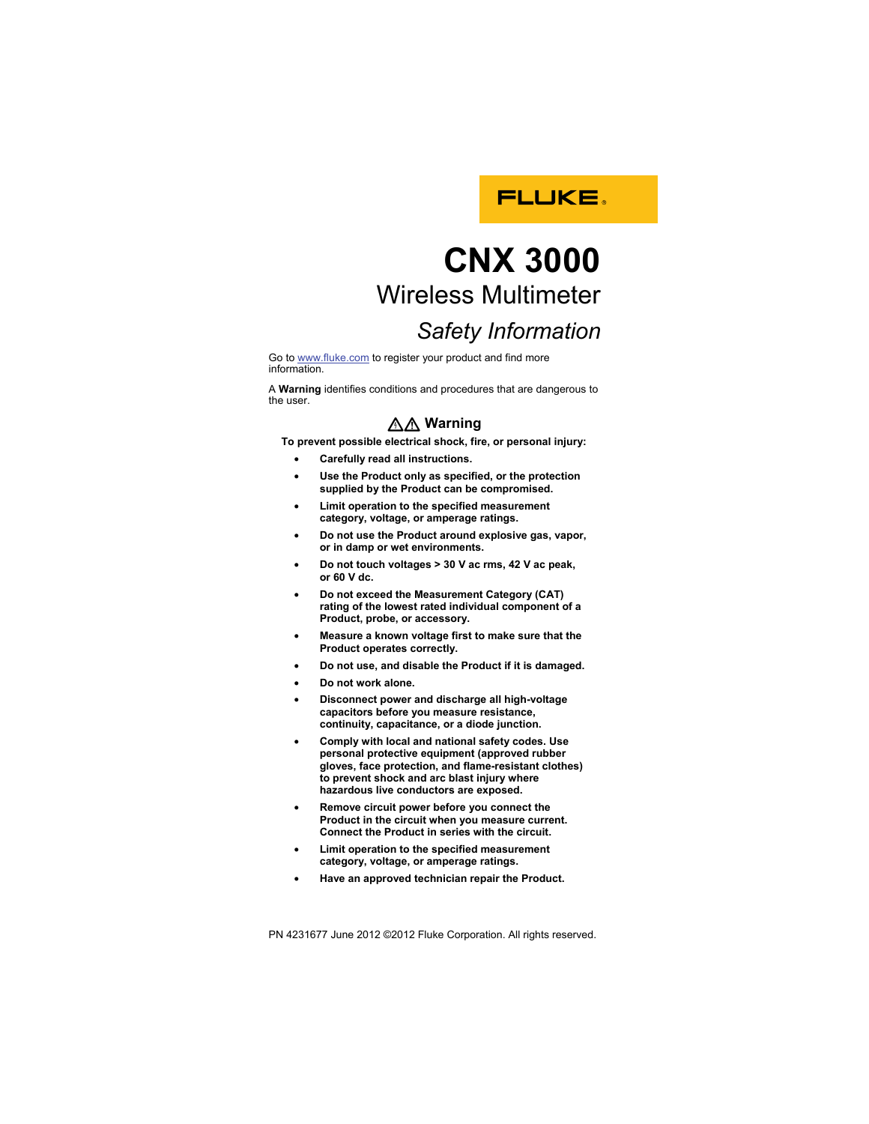

## **CNX 3000**  Wireless Multimeter

## *Safety Information*

Go to www.fluke.com to register your product and find more information.

A **Warning** identifies conditions and procedures that are dangerous to the user.

## XW **Warning**

**To prevent possible electrical shock, fire, or personal injury:** 

- **Carefully read all instructions.**
- **Use the Product only as specified, or the protection supplied by the Product can be compromised.**
- **Limit operation to the specified measurement category, voltage, or amperage ratings.**
- **Do not use the Product around explosive gas, vapor, or in damp or wet environments.**
- **Do not touch voltages > 30 V ac rms, 42 V ac peak, or 60 V dc.**
- **Do not exceed the Measurement Category (CAT) rating of the lowest rated individual component of a Product, probe, or accessory.**
- **Measure a known voltage first to make sure that the Product operates correctly.**
- **Do not use, and disable the Product if it is damaged.**
- **Do not work alone.**
- **Disconnect power and discharge all high-voltage capacitors before you measure resistance, continuity, capacitance, or a diode junction.**
- **Comply with local and national safety codes. Use personal protective equipment (approved rubber gloves, face protection, and flame-resistant clothes) to prevent shock and arc blast injury where hazardous live conductors are exposed.**
- **Remove circuit power before you connect the Product in the circuit when you measure current. Connect the Product in series with the circuit.**
- **Limit operation to the specified measurement category, voltage, or amperage ratings.**
- **Have an approved technician repair the Product.**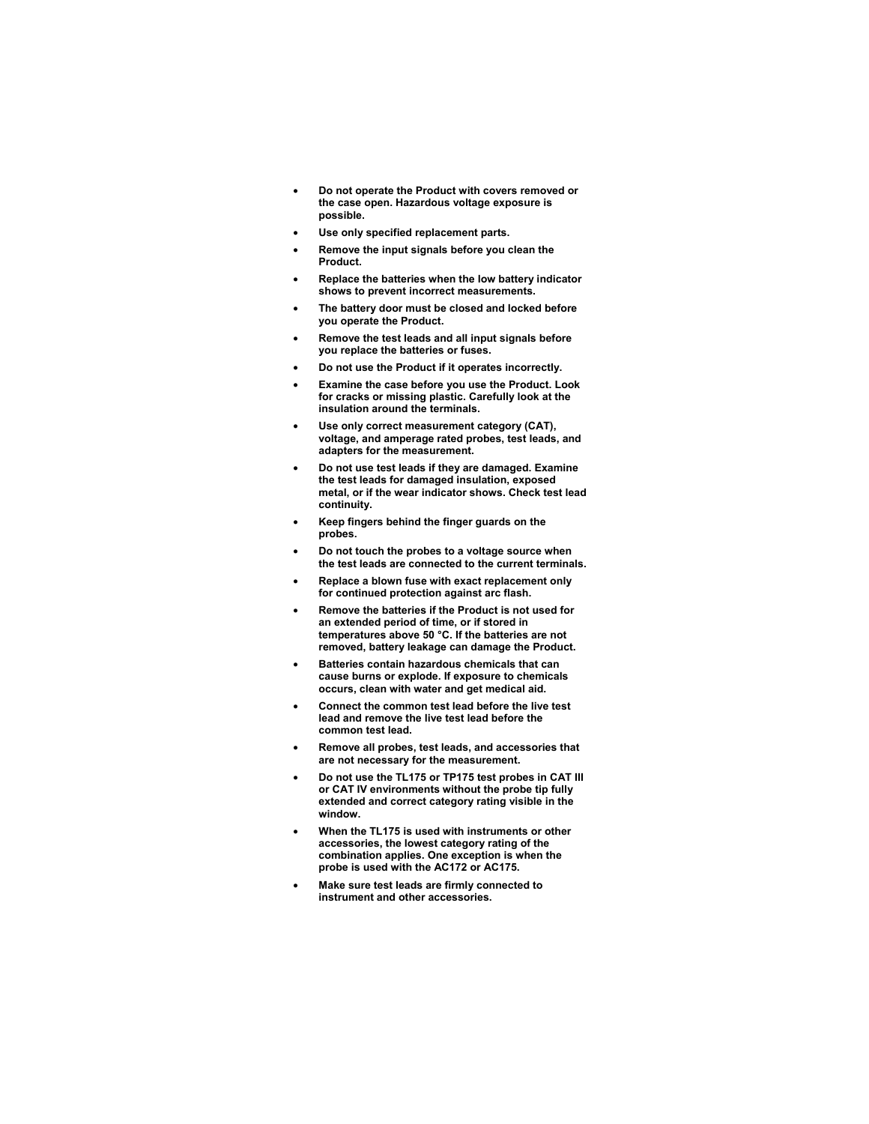- **Do not operate the Product with covers removed or the case open. Hazardous voltage exposure is possible.**
- **Use only specified replacement parts.**
- **Remove the input signals before you clean the Product.**
- **Replace the batteries when the low battery indicator shows to prevent incorrect measurements.**
- **The battery door must be closed and locked before you operate the Product.**
- **Remove the test leads and all input signals before you replace the batteries or fuses.**
- **Do not use the Product if it operates incorrectly.**
- **Examine the case before you use the Product. Look for cracks or missing plastic. Carefully look at the insulation around the terminals.**
- Use only correct measurement category (CAT), **voltage, and amperage rated probes, test leads, and adapters for the measurement.**
- **Do not use test leads if they are damaged. Examine the test leads for damaged insulation, exposed metal, or if the wear indicator shows. Check test lead continuity.**
- **Keep fingers behind the finger guards on the probes.**
- **Do not touch the probes to a voltage source when the test leads are connected to the current terminals.**
- **Replace a blown fuse with exact replacement only for continued protection against arc flash.**
- **Remove the batteries if the Product is not used for an extended period of time, or if stored in temperatures above 50 °C. If the batteries are not removed, battery leakage can damage the Product.**
- **Batteries contain hazardous chemicals that can cause burns or explode. If exposure to chemicals occurs, clean with water and get medical aid.**
- **Connect the common test lead before the live test lead and remove the live test lead before the common test lead.**
- **Remove all probes, test leads, and accessories that are not necessary for the measurement.**
- **Do not use the TL175 or TP175 test probes in CAT III or CAT IV environments without the probe tip fully extended and correct category rating visible in the window.**
- **When the TL175 is used with instruments or other accessories, the lowest category rating of the combination applies. One exception is when the probe is used with the AC172 or AC175.**
- **Make sure test leads are firmly connected to instrument and other accessories.**